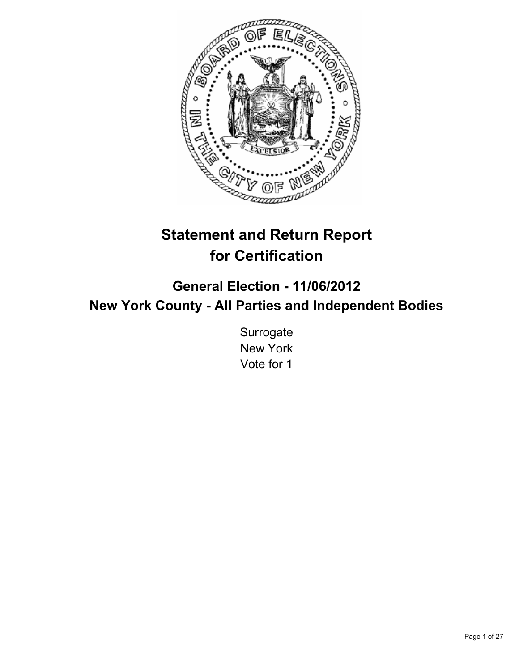

# **Statement and Return Report for Certification**

**General Election - 11/06/2012 New York County - All Parties and Independent Bodies**

> **Surrogate** New York Vote for 1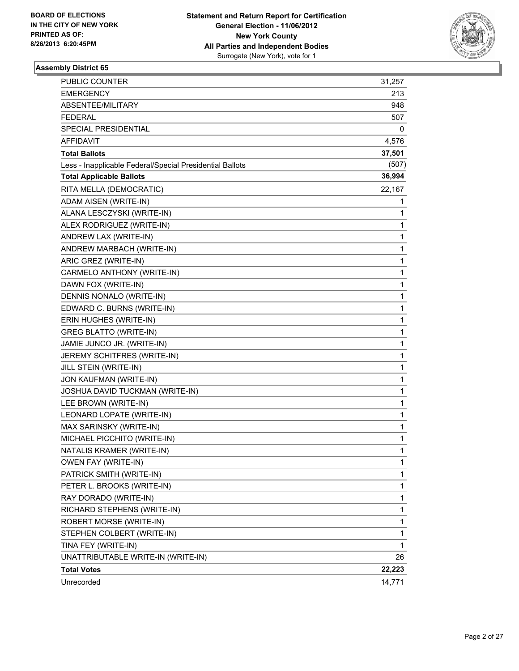

| <b>PUBLIC COUNTER</b>                                    | 31,257 |
|----------------------------------------------------------|--------|
| <b>EMERGENCY</b>                                         | 213    |
| ABSENTEE/MILITARY                                        | 948    |
| <b>FEDERAL</b>                                           | 507    |
| SPECIAL PRESIDENTIAL                                     | 0      |
| AFFIDAVIT                                                | 4,576  |
| <b>Total Ballots</b>                                     | 37,501 |
| Less - Inapplicable Federal/Special Presidential Ballots | (507)  |
| <b>Total Applicable Ballots</b>                          | 36,994 |
| RITA MELLA (DEMOCRATIC)                                  | 22,167 |
| ADAM AISEN (WRITE-IN)                                    | 1      |
| ALANA LESCZYSKI (WRITE-IN)                               | 1      |
| ALEX RODRIGUEZ (WRITE-IN)                                | 1      |
| ANDREW LAX (WRITE-IN)                                    | 1      |
| ANDREW MARBACH (WRITE-IN)                                | 1      |
| ARIC GREZ (WRITE-IN)                                     | 1      |
| CARMELO ANTHONY (WRITE-IN)                               | 1      |
| DAWN FOX (WRITE-IN)                                      | 1      |
| DENNIS NONALO (WRITE-IN)                                 | 1      |
| EDWARD C. BURNS (WRITE-IN)                               | 1      |
| ERIN HUGHES (WRITE-IN)                                   | 1      |
| <b>GREG BLATTO (WRITE-IN)</b>                            | 1      |
| JAMIE JUNCO JR. (WRITE-IN)                               | 1      |
| JEREMY SCHITFRES (WRITE-IN)                              | 1      |
| JILL STEIN (WRITE-IN)                                    | 1      |
| JON KAUFMAN (WRITE-IN)                                   | 1      |
| JOSHUA DAVID TUCKMAN (WRITE-IN)                          | 1      |
| LEE BROWN (WRITE-IN)                                     | 1      |
| LEONARD LOPATE (WRITE-IN)                                | 1      |
| MAX SARINSKY (WRITE-IN)                                  | 1      |
| MICHAEL PICCHITO (WRITE-IN)                              | 1      |
| NATALIS KRAMER (WRITE-IN)                                | 1      |
| OWEN FAY (WRITE-IN)                                      | 1      |
| PATRICK SMITH (WRITE-IN)                                 | 1      |
| PETER L. BROOKS (WRITE-IN)                               | 1      |
| RAY DORADO (WRITE-IN)                                    | 1      |
| RICHARD STEPHENS (WRITE-IN)                              | 1      |
| ROBERT MORSE (WRITE-IN)                                  | 1      |
| STEPHEN COLBERT (WRITE-IN)                               | 1      |
| TINA FEY (WRITE-IN)                                      | 1      |
| UNATTRIBUTABLE WRITE-IN (WRITE-IN)                       | 26     |
| <b>Total Votes</b>                                       | 22,223 |
| Unrecorded                                               | 14,771 |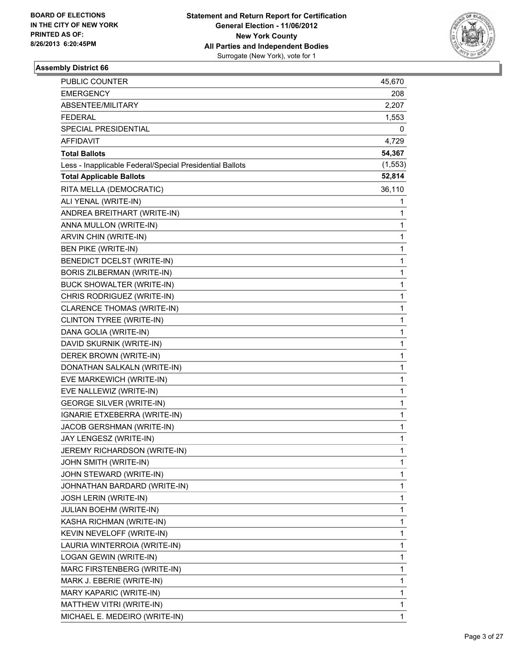

| <b>PUBLIC COUNTER</b>                                    | 45,670      |
|----------------------------------------------------------|-------------|
| <b>EMERGENCY</b>                                         | 208         |
| ABSENTEE/MILITARY                                        | 2,207       |
| <b>FEDERAL</b>                                           | 1,553       |
| SPECIAL PRESIDENTIAL                                     | 0           |
| AFFIDAVIT                                                | 4,729       |
| <b>Total Ballots</b>                                     | 54,367      |
| Less - Inapplicable Federal/Special Presidential Ballots | (1, 553)    |
| <b>Total Applicable Ballots</b>                          | 52,814      |
| RITA MELLA (DEMOCRATIC)                                  | 36,110      |
| ALI YENAL (WRITE-IN)                                     | 1           |
| ANDREA BREITHART (WRITE-IN)                              | 1           |
| ANNA MULLON (WRITE-IN)                                   | 1           |
| ARVIN CHIN (WRITE-IN)                                    | 1           |
| <b>BEN PIKE (WRITE-IN)</b>                               | 1           |
| BENEDICT DCELST (WRITE-IN)                               | $\mathbf 1$ |
| <b>BORIS ZILBERMAN (WRITE-IN)</b>                        | 1           |
| BUCK SHOWALTER (WRITE-IN)                                | 1           |
| CHRIS RODRIGUEZ (WRITE-IN)                               | 1           |
| <b>CLARENCE THOMAS (WRITE-IN)</b>                        | 1           |
| CLINTON TYREE (WRITE-IN)                                 | 1           |
| DANA GOLIA (WRITE-IN)                                    | 1           |
| DAVID SKURNIK (WRITE-IN)                                 | 1           |
| DEREK BROWN (WRITE-IN)                                   | 1           |
| DONATHAN SALKALN (WRITE-IN)                              | 1           |
| EVE MARKEWICH (WRITE-IN)                                 | 1           |
| EVE NALLEWIZ (WRITE-IN)                                  | 1           |
| <b>GEORGE SILVER (WRITE-IN)</b>                          | 1           |
| IGNARIE ETXEBERRA (WRITE-IN)                             | 1           |
| JACOB GERSHMAN (WRITE-IN)                                | 1           |
| JAY LENGESZ (WRITE-IN)                                   | 1           |
| JEREMY RICHARDSON (WRITE-IN)                             | 1           |
| JOHN SMITH (WRITE-IN)                                    | 1           |
| JOHN STEWARD (WRITE-IN)                                  | 1           |
| JOHNATHAN BARDARD (WRITE-IN)                             | 1           |
| <b>JOSH LERIN (WRITE-IN)</b>                             | 1           |
| <b>JULIAN BOEHM (WRITE-IN)</b>                           | 1           |
| KASHA RICHMAN (WRITE-IN)                                 | 1           |
| KEVIN NEVELOFF (WRITE-IN)                                | 1           |
| LAURIA WINTERROIA (WRITE-IN)                             | 1           |
| LOGAN GEWIN (WRITE-IN)                                   | 1           |
| MARC FIRSTENBERG (WRITE-IN)                              | 1           |
| MARK J. EBERIE (WRITE-IN)                                | 1           |
| MARY KAPARIC (WRITE-IN)                                  | 1           |
| MATTHEW VITRI (WRITE-IN)                                 | 1           |
| MICHAEL E. MEDEIRO (WRITE-IN)                            | 1           |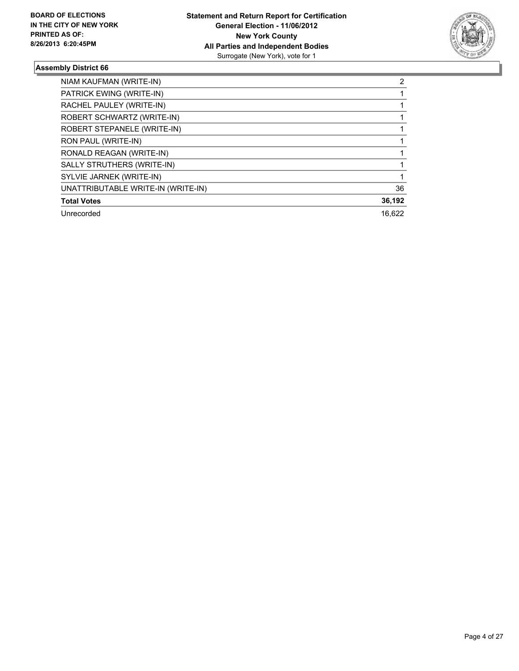

| NIAM KAUFMAN (WRITE-IN)            | 2      |
|------------------------------------|--------|
| PATRICK EWING (WRITE-IN)           |        |
| RACHEL PAULEY (WRITE-IN)           |        |
| ROBERT SCHWARTZ (WRITE-IN)         |        |
| ROBERT STEPANELE (WRITE-IN)        |        |
| RON PAUL (WRITE-IN)                |        |
| RONALD REAGAN (WRITE-IN)           |        |
| SALLY STRUTHERS (WRITE-IN)         |        |
| SYLVIE JARNEK (WRITE-IN)           |        |
| UNATTRIBUTABLE WRITE-IN (WRITE-IN) | 36     |
| <b>Total Votes</b>                 | 36,192 |
| Unrecorded                         | 16.622 |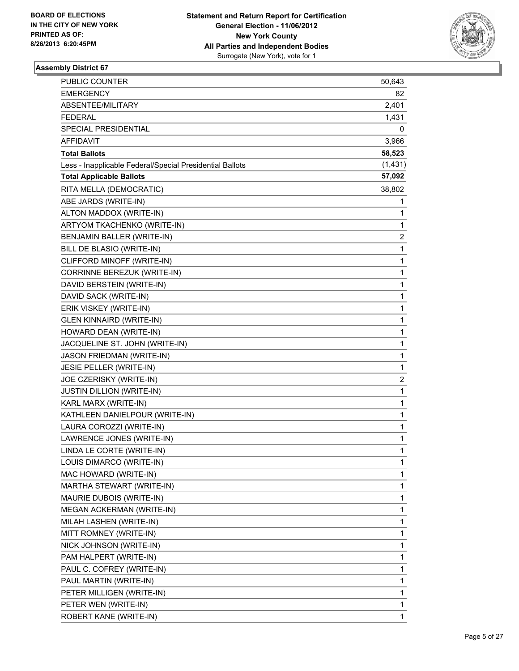

| PUBLIC COUNTER                                           | 50,643   |
|----------------------------------------------------------|----------|
| <b>EMERGENCY</b>                                         | 82       |
| ABSENTEE/MILITARY                                        | 2,401    |
| FEDERAL                                                  | 1,431    |
| SPECIAL PRESIDENTIAL                                     | 0        |
| AFFIDAVIT                                                | 3,966    |
| <b>Total Ballots</b>                                     | 58,523   |
| Less - Inapplicable Federal/Special Presidential Ballots | (1, 431) |
| <b>Total Applicable Ballots</b>                          | 57,092   |
| RITA MELLA (DEMOCRATIC)                                  | 38,802   |
| ABE JARDS (WRITE-IN)                                     | 1        |
| ALTON MADDOX (WRITE-IN)                                  | 1        |
| ARTYOM TKACHENKO (WRITE-IN)                              | 1        |
| BENJAMIN BALLER (WRITE-IN)                               | 2        |
| BILL DE BLASIO (WRITE-IN)                                | 1        |
| CLIFFORD MINOFF (WRITE-IN)                               | 1        |
| CORRINNE BEREZUK (WRITE-IN)                              | 1        |
| DAVID BERSTEIN (WRITE-IN)                                | 1        |
| DAVID SACK (WRITE-IN)                                    | 1        |
| ERIK VISKEY (WRITE-IN)                                   | 1        |
| <b>GLEN KINNAIRD (WRITE-IN)</b>                          | 1        |
| HOWARD DEAN (WRITE-IN)                                   | 1        |
| JACQUELINE ST. JOHN (WRITE-IN)                           | 1        |
| JASON FRIEDMAN (WRITE-IN)                                | 1        |
| JESIE PELLER (WRITE-IN)                                  | 1        |
| JOE CZERISKY (WRITE-IN)                                  | 2        |
| <b>JUSTIN DILLION (WRITE-IN)</b>                         | 1        |
| KARL MARX (WRITE-IN)                                     | 1        |
| KATHLEEN DANIELPOUR (WRITE-IN)                           | 1        |
| LAURA COROZZI (WRITE-IN)                                 | 1        |
| LAWRENCE JONES (WRITE-IN)                                | 1        |
| LINDA LE CORTE (WRITE-IN)                                | 1        |
| LOUIS DIMARCO (WRITE-IN)                                 | 1        |
| MAC HOWARD (WRITE-IN)                                    | 1        |
| MARTHA STEWART (WRITE-IN)                                | 1        |
| MAURIE DUBOIS (WRITE-IN)                                 | 1        |
| MEGAN ACKERMAN (WRITE-IN)                                | 1        |
| MILAH LASHEN (WRITE-IN)                                  | 1        |
| MITT ROMNEY (WRITE-IN)                                   | 1        |
| NICK JOHNSON (WRITE-IN)                                  | 1        |
| PAM HALPERT (WRITE-IN)                                   | 1        |
| PAUL C. COFREY (WRITE-IN)                                | 1        |
| PAUL MARTIN (WRITE-IN)                                   | 1        |
| PETER MILLIGEN (WRITE-IN)                                | 1        |
| PETER WEN (WRITE-IN)                                     | 1        |
| ROBERT KANE (WRITE-IN)                                   | 1        |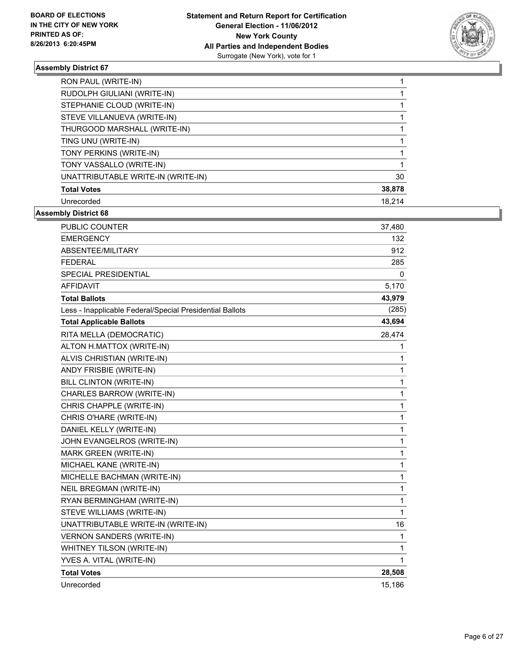

| RON PAUL (WRITE-IN)                |        |
|------------------------------------|--------|
| RUDOLPH GIULIANI (WRITE-IN)        |        |
| STEPHANIE CLOUD (WRITE-IN)         |        |
| STEVE VILLANUEVA (WRITE-IN)        |        |
| THURGOOD MARSHALL (WRITE-IN)       |        |
| TING UNU (WRITE-IN)                |        |
| TONY PERKINS (WRITE-IN)            |        |
| TONY VASSALLO (WRITE-IN)           |        |
| UNATTRIBUTABLE WRITE-IN (WRITE-IN) | 30     |
| <b>Total Votes</b>                 | 38,878 |
| Unrecorded                         | 18.214 |

| <b>PUBLIC COUNTER</b>                                    | 37,480       |
|----------------------------------------------------------|--------------|
| <b>EMERGENCY</b>                                         | 132          |
| ABSENTEE/MILITARY                                        | 912          |
| <b>FEDERAL</b>                                           | 285          |
| <b>SPECIAL PRESIDENTIAL</b>                              | 0            |
| <b>AFFIDAVIT</b>                                         | 5,170        |
| <b>Total Ballots</b>                                     | 43,979       |
| Less - Inapplicable Federal/Special Presidential Ballots | (285)        |
| <b>Total Applicable Ballots</b>                          | 43,694       |
| RITA MELLA (DEMOCRATIC)                                  | 28,474       |
| ALTON H.MATTOX (WRITE-IN)                                | 1            |
| ALVIS CHRISTIAN (WRITE-IN)                               | 1            |
| ANDY FRISBIE (WRITE-IN)                                  | 1            |
| BILL CLINTON (WRITE-IN)                                  | $\mathbf{1}$ |
| CHARLES BARROW (WRITE-IN)                                | 1            |
| CHRIS CHAPPLE (WRITE-IN)                                 | 1            |
| CHRIS O'HARE (WRITE-IN)                                  | $\mathbf 1$  |
| DANIEL KELLY (WRITE-IN)                                  | $\mathbf 1$  |
| JOHN EVANGELROS (WRITE-IN)                               | $\mathbf 1$  |
| <b>MARK GREEN (WRITE-IN)</b>                             | $\mathbf 1$  |
| MICHAEL KANE (WRITE-IN)                                  | $\mathbf{1}$ |
| MICHELLE BACHMAN (WRITE-IN)                              | $\mathbf{1}$ |
| <b>NEIL BREGMAN (WRITE-IN)</b>                           | $\mathbf 1$  |
| RYAN BERMINGHAM (WRITE-IN)                               | $\mathbf 1$  |
| STEVE WILLIAMS (WRITE-IN)                                | 1            |
| UNATTRIBUTABLE WRITE-IN (WRITE-IN)                       | 16           |
| <b>VERNON SANDERS (WRITE-IN)</b>                         | 1            |
| WHITNEY TILSON (WRITE-IN)                                | 1            |
| YVES A. VITAL (WRITE-IN)                                 | 1            |
| <b>Total Votes</b>                                       | 28,508       |
| Unrecorded                                               | 15,186       |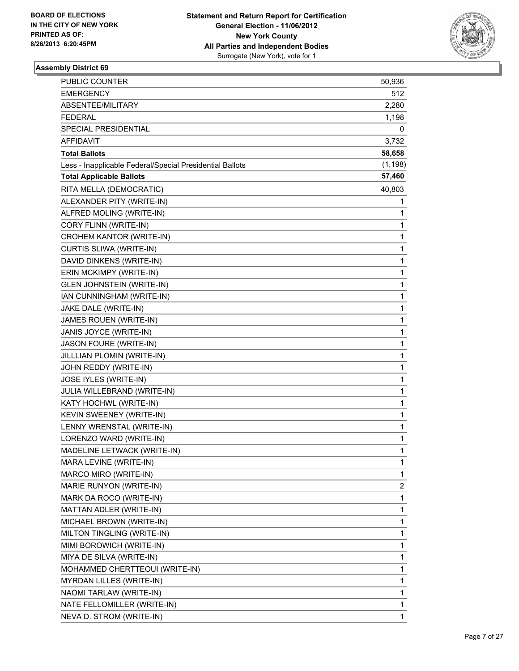

| PUBLIC COUNTER                                           | 50,936   |
|----------------------------------------------------------|----------|
| <b>EMERGENCY</b>                                         | 512      |
| ABSENTEE/MILITARY                                        | 2,280    |
| <b>FEDERAL</b>                                           | 1,198    |
| SPECIAL PRESIDENTIAL                                     | 0        |
| <b>AFFIDAVIT</b>                                         | 3,732    |
| <b>Total Ballots</b>                                     | 58,658   |
| Less - Inapplicable Federal/Special Presidential Ballots | (1, 198) |
| <b>Total Applicable Ballots</b>                          | 57,460   |
| RITA MELLA (DEMOCRATIC)                                  | 40,803   |
| ALEXANDER PITY (WRITE-IN)                                | 1        |
| ALFRED MOLING (WRITE-IN)                                 | 1        |
| CORY FLINN (WRITE-IN)                                    | 1        |
| CROHEM KANTOR (WRITE-IN)                                 | 1        |
| CURTIS SLIWA (WRITE-IN)                                  | 1        |
| DAVID DINKENS (WRITE-IN)                                 | 1        |
| ERIN MCKIMPY (WRITE-IN)                                  | 1        |
| <b>GLEN JOHNSTEIN (WRITE-IN)</b>                         | 1        |
| IAN CUNNINGHAM (WRITE-IN)                                | 1        |
| JAKE DALE (WRITE-IN)                                     | 1        |
| JAMES ROUEN (WRITE-IN)                                   | 1        |
| JANIS JOYCE (WRITE-IN)                                   | 1        |
| JASON FOURE (WRITE-IN)                                   | 1        |
| JILLLIAN PLOMIN (WRITE-IN)                               | 1        |
| JOHN REDDY (WRITE-IN)                                    | 1        |
| JOSE IYLES (WRITE-IN)                                    | 1        |
| JULIA WILLEBRAND (WRITE-IN)                              | 1        |
| KATY HOCHWL (WRITE-IN)                                   | 1        |
| KEVIN SWEENEY (WRITE-IN)                                 | 1        |
| LENNY WRENSTAL (WRITE-IN)                                | 1        |
| LORENZO WARD (WRITE-IN)                                  | 1        |
| MADELINE LETWACK (WRITE-IN)                              | 1        |
| MARA LEVINE (WRITE-IN)                                   | 1        |
| MARCO MIRO (WRITE-IN)                                    | 1        |
| MARIE RUNYON (WRITE-IN)                                  | 2        |
| MARK DA ROCO (WRITE-IN)                                  | 1        |
| MATTAN ADLER (WRITE-IN)                                  | 1        |
| MICHAEL BROWN (WRITE-IN)                                 | 1        |
| MILTON TINGLING (WRITE-IN)                               | 1        |
| MIMI BOROWICH (WRITE-IN)                                 | 1        |
| MIYA DE SILVA (WRITE-IN)                                 | 1        |
| MOHAMMED CHERTTEOUI (WRITE-IN)                           | 1        |
| <b>MYRDAN LILLES (WRITE-IN)</b>                          | 1        |
| NAOMI TARLAW (WRITE-IN)                                  | 1        |
| NATE FELLOMILLER (WRITE-IN)                              | 1        |
| NEVA D. STROM (WRITE-IN)                                 | 1        |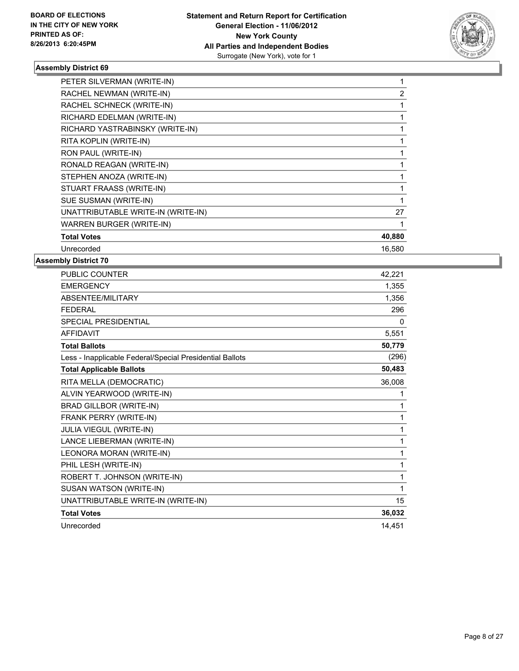

| PETER SILVERMAN (WRITE-IN)         |                |
|------------------------------------|----------------|
| RACHEL NEWMAN (WRITE-IN)           | $\overline{2}$ |
| RACHEL SCHNECK (WRITE-IN)          |                |
| RICHARD EDELMAN (WRITE-IN)         |                |
| RICHARD YASTRABINSKY (WRITE-IN)    |                |
| RITA KOPLIN (WRITE-IN)             |                |
| RON PAUL (WRITE-IN)                |                |
| RONALD REAGAN (WRITE-IN)           |                |
| STEPHEN ANOZA (WRITE-IN)           |                |
| STUART FRAASS (WRITE-IN)           |                |
| SUE SUSMAN (WRITE-IN)              |                |
| UNATTRIBUTABLE WRITE-IN (WRITE-IN) | 27             |
| WARREN BURGER (WRITE-IN)           |                |
| <b>Total Votes</b>                 | 40,880         |
| Unrecorded                         | 16,580         |

| <b>PUBLIC COUNTER</b>                                    | 42,221 |
|----------------------------------------------------------|--------|
| <b>EMERGENCY</b>                                         | 1,355  |
| ABSENTEE/MILITARY                                        | 1,356  |
| <b>FEDERAL</b>                                           | 296    |
| SPECIAL PRESIDENTIAL                                     | 0      |
| <b>AFFIDAVIT</b>                                         | 5,551  |
| <b>Total Ballots</b>                                     | 50,779 |
| Less - Inapplicable Federal/Special Presidential Ballots | (296)  |
| <b>Total Applicable Ballots</b>                          | 50,483 |
| RITA MELLA (DEMOCRATIC)                                  | 36,008 |
| ALVIN YEARWOOD (WRITE-IN)                                | 1      |
| BRAD GILLBOR (WRITE-IN)                                  | 1      |
| FRANK PERRY (WRITE-IN)                                   | 1      |
| JULIA VIEGUL (WRITE-IN)                                  | 1      |
| LANCE LIEBERMAN (WRITE-IN)                               | 1      |
| LEONORA MORAN (WRITE-IN)                                 | 1      |
| PHIL LESH (WRITE-IN)                                     | 1      |
| ROBERT T. JOHNSON (WRITE-IN)                             | 1      |
| SUSAN WATSON (WRITE-IN)                                  | 1      |
| UNATTRIBUTABLE WRITE-IN (WRITE-IN)                       | 15     |
| <b>Total Votes</b>                                       | 36,032 |
| Unrecorded                                               | 14,451 |
|                                                          |        |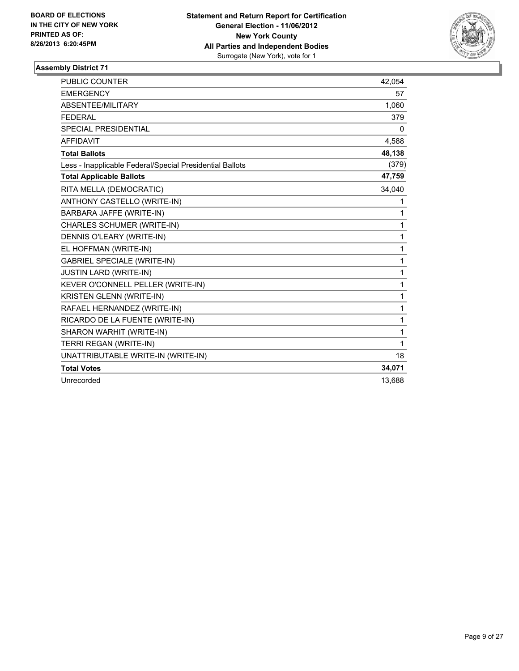

| <b>PUBLIC COUNTER</b>                                    | 42,054 |
|----------------------------------------------------------|--------|
| <b>EMERGENCY</b>                                         | 57     |
| ABSENTEE/MILITARY                                        | 1,060  |
| <b>FEDERAL</b>                                           | 379    |
| SPECIAL PRESIDENTIAL                                     | 0      |
| <b>AFFIDAVIT</b>                                         | 4,588  |
| <b>Total Ballots</b>                                     | 48,138 |
| Less - Inapplicable Federal/Special Presidential Ballots | (379)  |
| <b>Total Applicable Ballots</b>                          | 47,759 |
| RITA MELLA (DEMOCRATIC)                                  | 34,040 |
| ANTHONY CASTELLO (WRITE-IN)                              | 1      |
| BARBARA JAFFE (WRITE-IN)                                 | 1      |
| CHARLES SCHUMER (WRITE-IN)                               | 1      |
| <b>DENNIS O'LEARY (WRITE-IN)</b>                         | 1      |
| EL HOFFMAN (WRITE-IN)                                    | 1      |
| <b>GABRIEL SPECIALE (WRITE-IN)</b>                       | 1      |
| <b>JUSTIN LARD (WRITE-IN)</b>                            | 1      |
| KEVER O'CONNELL PELLER (WRITE-IN)                        | 1      |
| KRISTEN GLENN (WRITE-IN)                                 | 1      |
| RAFAEL HERNANDEZ (WRITE-IN)                              | 1      |
| RICARDO DE LA FUENTE (WRITE-IN)                          | 1      |
| SHARON WARHIT (WRITE-IN)                                 | 1      |
| TERRI REGAN (WRITE-IN)                                   | 1      |
| UNATTRIBUTABLE WRITE-IN (WRITE-IN)                       | 18     |
| <b>Total Votes</b>                                       | 34,071 |
| Unrecorded                                               | 13,688 |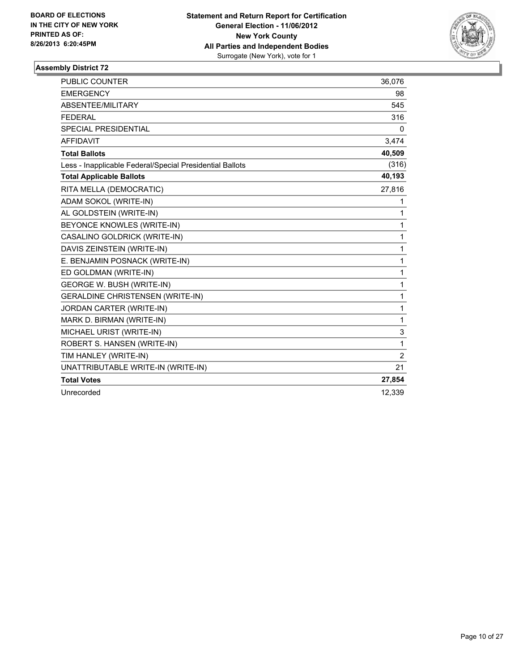

| <b>PUBLIC COUNTER</b>                                    | 36,076         |
|----------------------------------------------------------|----------------|
| <b>EMERGENCY</b>                                         | 98             |
| ABSENTEE/MILITARY                                        | 545            |
| <b>FEDERAL</b>                                           | 316            |
| SPECIAL PRESIDENTIAL                                     | 0              |
| <b>AFFIDAVIT</b>                                         | 3,474          |
| <b>Total Ballots</b>                                     | 40,509         |
| Less - Inapplicable Federal/Special Presidential Ballots | (316)          |
| <b>Total Applicable Ballots</b>                          | 40,193         |
| RITA MELLA (DEMOCRATIC)                                  | 27,816         |
| ADAM SOKOL (WRITE-IN)                                    | 1              |
| AL GOLDSTEIN (WRITE-IN)                                  | 1              |
| BEYONCE KNOWLES (WRITE-IN)                               | 1              |
| CASALINO GOLDRICK (WRITE-IN)                             | 1              |
| DAVIS ZEINSTEIN (WRITE-IN)                               | 1              |
| E. BENJAMIN POSNACK (WRITE-IN)                           | 1              |
| ED GOLDMAN (WRITE-IN)                                    | 1              |
| <b>GEORGE W. BUSH (WRITE-IN)</b>                         | 1              |
| <b>GERALDINE CHRISTENSEN (WRITE-IN)</b>                  | 1              |
| JORDAN CARTER (WRITE-IN)                                 | 1              |
| MARK D. BIRMAN (WRITE-IN)                                | 1              |
| MICHAEL URIST (WRITE-IN)                                 | 3              |
| ROBERT S. HANSEN (WRITE-IN)                              | 1              |
| TIM HANLEY (WRITE-IN)                                    | $\overline{2}$ |
| UNATTRIBUTABLE WRITE-IN (WRITE-IN)                       | 21             |
| <b>Total Votes</b>                                       | 27,854         |
| Unrecorded                                               | 12,339         |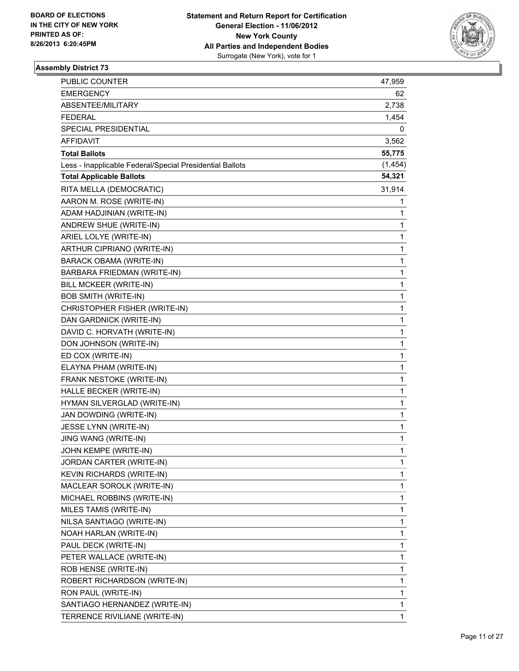

| PUBLIC COUNTER                                           | 47,959   |
|----------------------------------------------------------|----------|
| <b>EMERGENCY</b>                                         | 62       |
| ABSENTEE/MILITARY                                        | 2,738    |
| <b>FEDERAL</b>                                           | 1,454    |
| SPECIAL PRESIDENTIAL                                     | 0        |
| <b>AFFIDAVIT</b>                                         | 3,562    |
| <b>Total Ballots</b>                                     | 55,775   |
| Less - Inapplicable Federal/Special Presidential Ballots | (1, 454) |
| <b>Total Applicable Ballots</b>                          | 54,321   |
| RITA MELLA (DEMOCRATIC)                                  | 31,914   |
| AARON M. ROSE (WRITE-IN)                                 | 1        |
| ADAM HADJINIAN (WRITE-IN)                                | 1        |
| ANDREW SHUE (WRITE-IN)                                   | 1        |
| ARIEL LOLYE (WRITE-IN)                                   | 1        |
| ARTHUR CIPRIANO (WRITE-IN)                               | 1        |
| BARACK OBAMA (WRITE-IN)                                  | 1        |
| BARBARA FRIEDMAN (WRITE-IN)                              | 1        |
| BILL MCKEER (WRITE-IN)                                   | 1        |
| <b>BOB SMITH (WRITE-IN)</b>                              | 1        |
| CHRISTOPHER FISHER (WRITE-IN)                            | 1        |
| DAN GARDNICK (WRITE-IN)                                  | 1        |
| DAVID C. HORVATH (WRITE-IN)                              | 1        |
| DON JOHNSON (WRITE-IN)                                   | 1        |
| ED COX (WRITE-IN)                                        | 1        |
| ELAYNA PHAM (WRITE-IN)                                   | 1        |
| FRANK NESTOKE (WRITE-IN)                                 | 1        |
| HALLE BECKER (WRITE-IN)                                  | 1        |
| HYMAN SILVERGLAD (WRITE-IN)                              | 1        |
| JAN DOWDING (WRITE-IN)                                   | 1        |
| JESSE LYNN (WRITE-IN)                                    | 1        |
| JING WANG (WRITE-IN)                                     | 1        |
| JOHN KEMPE (WRITE-IN)                                    | 1        |
| JORDAN CARTER (WRITE-IN)                                 | 1        |
| <b>KEVIN RICHARDS (WRITE-IN)</b>                         | 1        |
| MACLEAR SOROLK (WRITE-IN)                                | 1        |
| MICHAEL ROBBINS (WRITE-IN)                               | 1        |
| MILES TAMIS (WRITE-IN)                                   | 1        |
| NILSA SANTIAGO (WRITE-IN)                                | 1        |
| NOAH HARLAN (WRITE-IN)                                   | 1        |
| PAUL DECK (WRITE-IN)                                     | 1        |
| PETER WALLACE (WRITE-IN)                                 | 1        |
| ROB HENSE (WRITE-IN)                                     | 1        |
| ROBERT RICHARDSON (WRITE-IN)                             | 1        |
| RON PAUL (WRITE-IN)                                      | 1        |
| SANTIAGO HERNANDEZ (WRITE-IN)                            | 1        |
| TERRENCE RIVILIANE (WRITE-IN)                            | 1        |
|                                                          |          |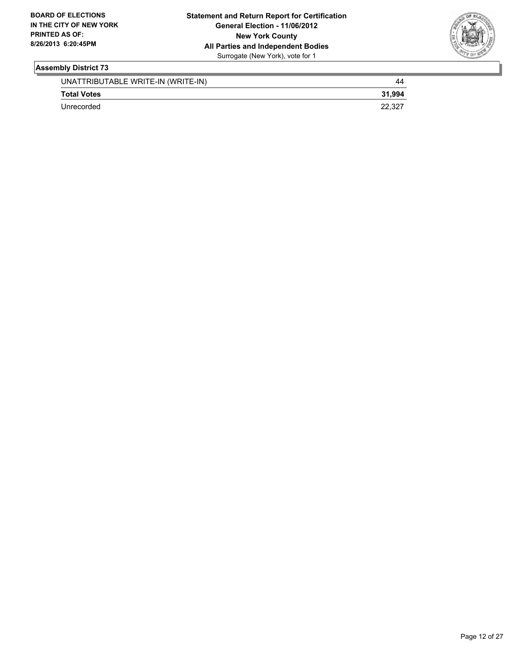

| UNATTRIBUTABLE WRITE-IN (WRITE-IN) | 44     |
|------------------------------------|--------|
| <b>Total Votes</b>                 | 31.994 |
| Unrecorded                         | 22.327 |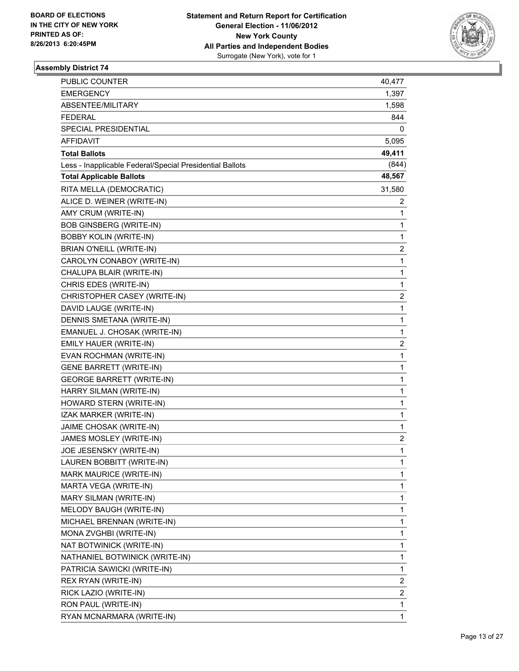

| PUBLIC COUNTER                                           | 40,477                  |
|----------------------------------------------------------|-------------------------|
| <b>EMERGENCY</b>                                         | 1,397                   |
| ABSENTEE/MILITARY                                        | 1,598                   |
| FEDERAL                                                  | 844                     |
| SPECIAL PRESIDENTIAL                                     | 0                       |
| AFFIDAVIT                                                | 5,095                   |
| <b>Total Ballots</b>                                     | 49,411                  |
| Less - Inapplicable Federal/Special Presidential Ballots | (844)                   |
| <b>Total Applicable Ballots</b>                          | 48,567                  |
| RITA MELLA (DEMOCRATIC)                                  | 31,580                  |
| ALICE D. WEINER (WRITE-IN)                               | 2                       |
| AMY CRUM (WRITE-IN)                                      | 1                       |
| <b>BOB GINSBERG (WRITE-IN)</b>                           | 1                       |
| <b>BOBBY KOLIN (WRITE-IN)</b>                            | 1                       |
| BRIAN O'NEILL (WRITE-IN)                                 | 2                       |
| CAROLYN CONABOY (WRITE-IN)                               | 1                       |
| CHALUPA BLAIR (WRITE-IN)                                 | 1                       |
| CHRIS EDES (WRITE-IN)                                    | 1                       |
| CHRISTOPHER CASEY (WRITE-IN)                             | $\overline{\mathbf{c}}$ |
| DAVID LAUGE (WRITE-IN)                                   | 1                       |
| DENNIS SMETANA (WRITE-IN)                                | 1                       |
| EMANUEL J. CHOSAK (WRITE-IN)                             | 1                       |
| EMILY HAUER (WRITE-IN)                                   | 2                       |
| EVAN ROCHMAN (WRITE-IN)                                  | 1                       |
| <b>GENE BARRETT (WRITE-IN)</b>                           | 1                       |
| <b>GEORGE BARRETT (WRITE-IN)</b>                         | 1                       |
| HARRY SILMAN (WRITE-IN)                                  | 1                       |
| HOWARD STERN (WRITE-IN)                                  | 1                       |
| IZAK MARKER (WRITE-IN)                                   | 1                       |
| JAIME CHOSAK (WRITE-IN)                                  | 1                       |
| JAMES MOSLEY (WRITE-IN)                                  | 2                       |
| JOE JESENSKY (WRITE-IN)                                  | 1                       |
| LAUREN BOBBITT (WRITE-IN)                                | 1                       |
| MARK MAURICE (WRITE-IN)                                  | 1                       |
| MARTA VEGA (WRITE-IN)                                    | 1                       |
| <b>MARY SILMAN (WRITE-IN)</b>                            | 1                       |
| MELODY BAUGH (WRITE-IN)                                  | 1                       |
| MICHAEL BRENNAN (WRITE-IN)                               | 1                       |
| MONA ZVGHBI (WRITE-IN)                                   | 1                       |
| NAT BOTWINICK (WRITE-IN)                                 | 1                       |
| NATHANIEL BOTWINICK (WRITE-IN)                           | 1                       |
| PATRICIA SAWICKI (WRITE-IN)                              | 1                       |
| REX RYAN (WRITE-IN)                                      | 2                       |
| RICK LAZIO (WRITE-IN)                                    | 2                       |
| RON PAUL (WRITE-IN)                                      | 1                       |
| RYAN MCNARMARA (WRITE-IN)                                | 1                       |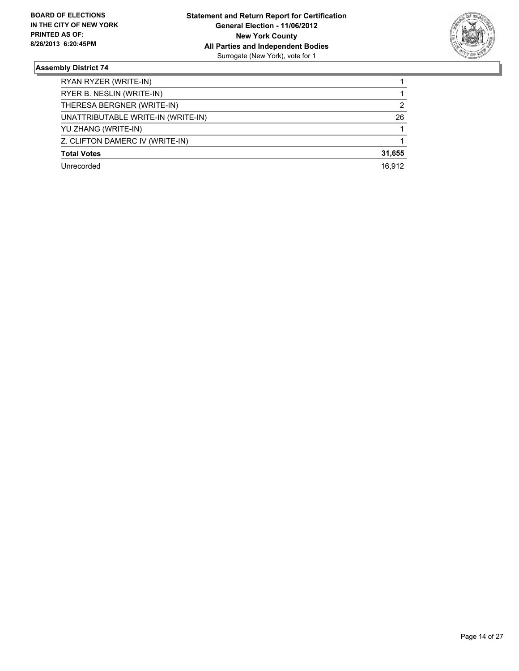

| RYAN RYZER (WRITE-IN)              |        |
|------------------------------------|--------|
| RYER B. NESLIN (WRITE-IN)          |        |
| THERESA BERGNER (WRITE-IN)         | 2      |
| UNATTRIBUTABLE WRITE-IN (WRITE-IN) | 26     |
| YU ZHANG (WRITE-IN)                |        |
| Z. CLIFTON DAMERC IV (WRITE-IN)    |        |
| <b>Total Votes</b>                 | 31,655 |
| Unrecorded                         | 16.912 |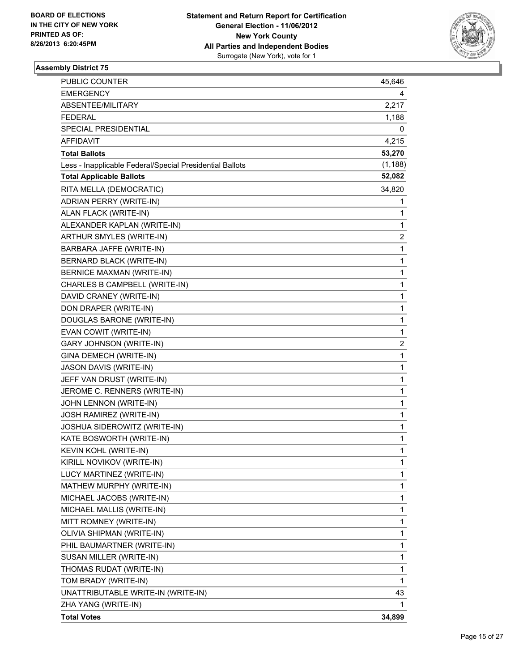

| <b>PUBLIC COUNTER</b>                                    | 45,646   |
|----------------------------------------------------------|----------|
| <b>EMERGENCY</b>                                         | 4        |
| ABSENTEE/MILITARY                                        | 2,217    |
| <b>FEDERAL</b>                                           | 1,188    |
| SPECIAL PRESIDENTIAL                                     | 0        |
| <b>AFFIDAVIT</b>                                         | 4,215    |
| <b>Total Ballots</b>                                     | 53,270   |
| Less - Inapplicable Federal/Special Presidential Ballots | (1, 188) |
| <b>Total Applicable Ballots</b>                          | 52,082   |
| RITA MELLA (DEMOCRATIC)                                  | 34,820   |
| ADRIAN PERRY (WRITE-IN)                                  | 1        |
| ALAN FLACK (WRITE-IN)                                    | 1        |
| ALEXANDER KAPLAN (WRITE-IN)                              | 1        |
| ARTHUR SMYLES (WRITE-IN)                                 | 2        |
| BARBARA JAFFE (WRITE-IN)                                 | 1        |
| <b>BERNARD BLACK (WRITE-IN)</b>                          | 1        |
| BERNICE MAXMAN (WRITE-IN)                                | 1        |
| CHARLES B CAMPBELL (WRITE-IN)                            | 1        |
| DAVID CRANEY (WRITE-IN)                                  | 1        |
| DON DRAPER (WRITE-IN)                                    | 1        |
| DOUGLAS BARONE (WRITE-IN)                                | 1        |
| EVAN COWIT (WRITE-IN)                                    | 1        |
| GARY JOHNSON (WRITE-IN)                                  | 2        |
| GINA DEMECH (WRITE-IN)                                   | 1        |
| JASON DAVIS (WRITE-IN)                                   | 1        |
| JEFF VAN DRUST (WRITE-IN)                                | 1        |
| JEROME C. RENNERS (WRITE-IN)                             | 1        |
| JOHN LENNON (WRITE-IN)                                   | 1        |
| JOSH RAMIREZ (WRITE-IN)                                  | 1        |
| JOSHUA SIDEROWITZ (WRITE-IN)                             | 1        |
| KATE BOSWORTH (WRITE-IN)                                 | 1        |
| KEVIN KOHL (WRITE-IN)                                    | 1        |
| KIRILL NOVIKOV (WRITE-IN)                                | 1        |
| LUCY MARTINEZ (WRITE-IN)                                 | 1        |
| MATHEW MURPHY (WRITE-IN)                                 | 1        |
| MICHAEL JACOBS (WRITE-IN)                                | 1        |
| MICHAEL MALLIS (WRITE-IN)                                | 1        |
| MITT ROMNEY (WRITE-IN)                                   | 1        |
| OLIVIA SHIPMAN (WRITE-IN)                                | 1        |
| PHIL BAUMARTNER (WRITE-IN)                               | 1        |
| SUSAN MILLER (WRITE-IN)                                  | 1        |
| THOMAS RUDAT (WRITE-IN)                                  | 1        |
| TOM BRADY (WRITE-IN)                                     | 1        |
| UNATTRIBUTABLE WRITE-IN (WRITE-IN)                       | 43       |
| ZHA YANG (WRITE-IN)                                      | 1        |
| <b>Total Votes</b>                                       | 34,899   |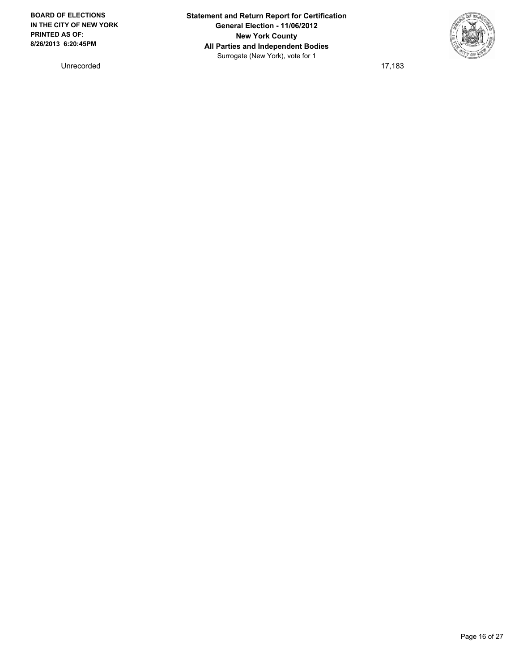Unrecorded 17,183

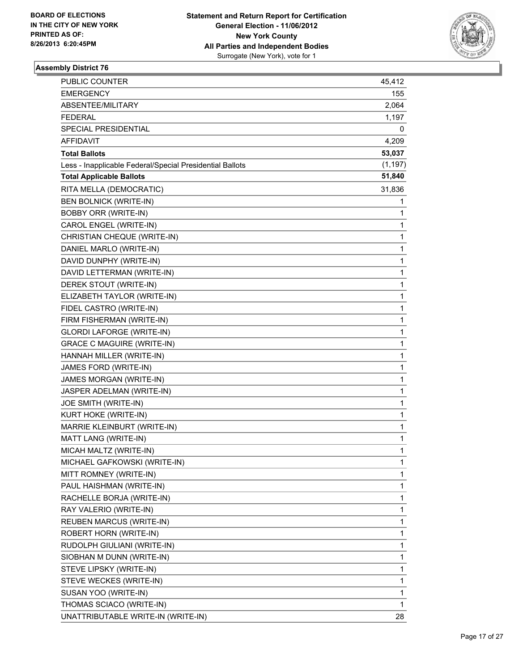

| PUBLIC COUNTER                                           | 45,412   |
|----------------------------------------------------------|----------|
| <b>EMERGENCY</b>                                         | 155      |
| ABSENTEE/MILITARY                                        | 2,064    |
| <b>FEDERAL</b>                                           | 1,197    |
| <b>SPECIAL PRESIDENTIAL</b>                              | 0        |
| AFFIDAVIT                                                | 4,209    |
| <b>Total Ballots</b>                                     | 53,037   |
| Less - Inapplicable Federal/Special Presidential Ballots | (1, 197) |
| <b>Total Applicable Ballots</b>                          | 51,840   |
| RITA MELLA (DEMOCRATIC)                                  | 31,836   |
| <b>BEN BOLNICK (WRITE-IN)</b>                            | 1        |
| <b>BOBBY ORR (WRITE-IN)</b>                              | 1        |
| CAROL ENGEL (WRITE-IN)                                   | 1        |
| CHRISTIAN CHEQUE (WRITE-IN)                              | 1        |
| DANIEL MARLO (WRITE-IN)                                  | 1        |
| DAVID DUNPHY (WRITE-IN)                                  | 1        |
| DAVID LETTERMAN (WRITE-IN)                               | 1        |
| DEREK STOUT (WRITE-IN)                                   | 1        |
| ELIZABETH TAYLOR (WRITE-IN)                              | 1        |
| FIDEL CASTRO (WRITE-IN)                                  | 1        |
| FIRM FISHERMAN (WRITE-IN)                                | 1        |
| GLORDI LAFORGE (WRITE-IN)                                | 1        |
| <b>GRACE C MAGUIRE (WRITE-IN)</b>                        | 1        |
| HANNAH MILLER (WRITE-IN)                                 | 1        |
| JAMES FORD (WRITE-IN)                                    | 1        |
| JAMES MORGAN (WRITE-IN)                                  | 1        |
| JASPER ADELMAN (WRITE-IN)                                | 1        |
| JOE SMITH (WRITE-IN)                                     | 1        |
| KURT HOKE (WRITE-IN)                                     | 1        |
| MARRIE KLEINBURT (WRITE-IN)                              | 1        |
| MATT LANG (WRITE-IN)                                     | 1        |
| MICAH MALTZ (WRITE-IN)                                   | 1        |
| MICHAEL GAFKOWSKI (WRITE-IN)                             | 1        |
| MITT ROMNEY (WRITE-IN)                                   | 1        |
| PAUL HAISHMAN (WRITE-IN)                                 | 1        |
| RACHELLE BORJA (WRITE-IN)                                | 1        |
| RAY VALERIO (WRITE-IN)                                   | 1        |
| <b>REUBEN MARCUS (WRITE-IN)</b>                          | 1        |
| ROBERT HORN (WRITE-IN)                                   | 1        |
| RUDOLPH GIULIANI (WRITE-IN)                              | 1        |
| SIOBHAN M DUNN (WRITE-IN)                                | 1        |
| STEVE LIPSKY (WRITE-IN)                                  | 1        |
| STEVE WECKES (WRITE-IN)                                  | 1        |
| SUSAN YOO (WRITE-IN)                                     | 1        |
| THOMAS SCIACO (WRITE-IN)                                 | 1        |
| UNATTRIBUTABLE WRITE-IN (WRITE-IN)                       | 28       |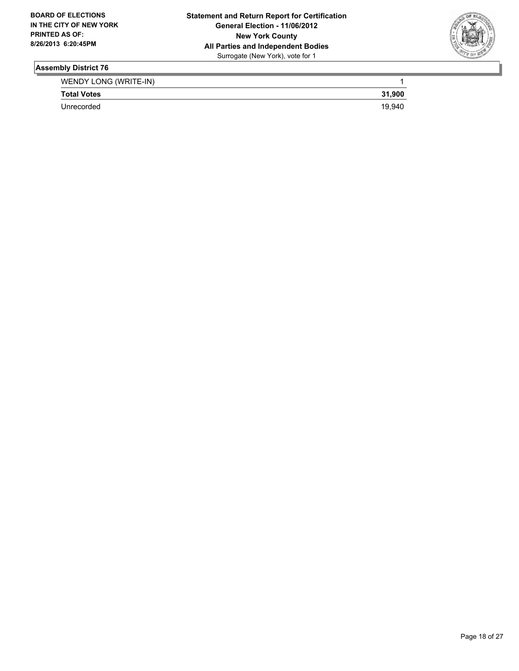

| WENDY LONG (WRITE-IN) |        |
|-----------------------|--------|
| <b>Total Votes</b>    | 31,900 |
| Unrecorded            | 19.940 |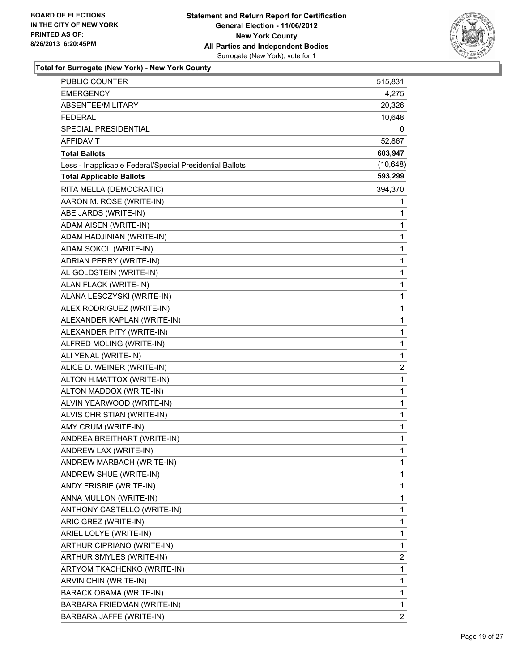

| PUBLIC COUNTER                                           | 515,831                 |
|----------------------------------------------------------|-------------------------|
| <b>EMERGENCY</b>                                         | 4,275                   |
| ABSENTEE/MILITARY                                        | 20,326                  |
| <b>FEDERAL</b>                                           | 10,648                  |
| SPECIAL PRESIDENTIAL                                     | 0                       |
| AFFIDAVIT                                                | 52,867                  |
| <b>Total Ballots</b>                                     | 603,947                 |
| Less - Inapplicable Federal/Special Presidential Ballots | (10, 648)               |
| <b>Total Applicable Ballots</b>                          | 593,299                 |
| RITA MELLA (DEMOCRATIC)                                  | 394,370                 |
| AARON M. ROSE (WRITE-IN)                                 | 1                       |
| ABE JARDS (WRITE-IN)                                     | 1                       |
| ADAM AISEN (WRITE-IN)                                    | 1                       |
| ADAM HADJINIAN (WRITE-IN)                                | 1                       |
| ADAM SOKOL (WRITE-IN)                                    | 1                       |
| ADRIAN PERRY (WRITE-IN)                                  | 1                       |
| AL GOLDSTEIN (WRITE-IN)                                  | 1                       |
| ALAN FLACK (WRITE-IN)                                    | 1                       |
| ALANA LESCZYSKI (WRITE-IN)                               | 1                       |
| ALEX RODRIGUEZ (WRITE-IN)                                | 1                       |
| ALEXANDER KAPLAN (WRITE-IN)                              | 1                       |
| ALEXANDER PITY (WRITE-IN)                                | 1                       |
| ALFRED MOLING (WRITE-IN)                                 | 1                       |
| ALI YENAL (WRITE-IN)                                     | 1                       |
| ALICE D. WEINER (WRITE-IN)                               | $\overline{\mathbf{c}}$ |
| ALTON H.MATTOX (WRITE-IN)                                | $\mathbf{1}$            |
| ALTON MADDOX (WRITE-IN)                                  | 1                       |
| ALVIN YEARWOOD (WRITE-IN)                                | 1                       |
| ALVIS CHRISTIAN (WRITE-IN)                               | 1                       |
| AMY CRUM (WRITE-IN)                                      | 1                       |
| ANDREA BREITHART (WRITE-IN)                              | 1                       |
| ANDREW LAX (WRITE-IN)                                    | 1                       |
| ANDREW MARBACH (WRITE-IN)                                | 1                       |
| ANDREW SHUE (WRITE-IN)                                   | 1                       |
| ANDY FRISBIE (WRITE-IN)                                  | 1                       |
| ANNA MULLON (WRITE-IN)                                   | 1                       |
| ANTHONY CASTELLO (WRITE-IN)                              | 1                       |
| ARIC GREZ (WRITE-IN)                                     | 1                       |
| ARIEL LOLYE (WRITE-IN)                                   | 1                       |
| ARTHUR CIPRIANO (WRITE-IN)                               | 1                       |
| ARTHUR SMYLES (WRITE-IN)                                 | 2                       |
| ARTYOM TKACHENKO (WRITE-IN)                              | 1                       |
| ARVIN CHIN (WRITE-IN)                                    | 1                       |
| BARACK OBAMA (WRITE-IN)                                  | 1                       |
| BARBARA FRIEDMAN (WRITE-IN)                              | 1                       |
| BARBARA JAFFE (WRITE-IN)                                 | $\overline{\mathbf{c}}$ |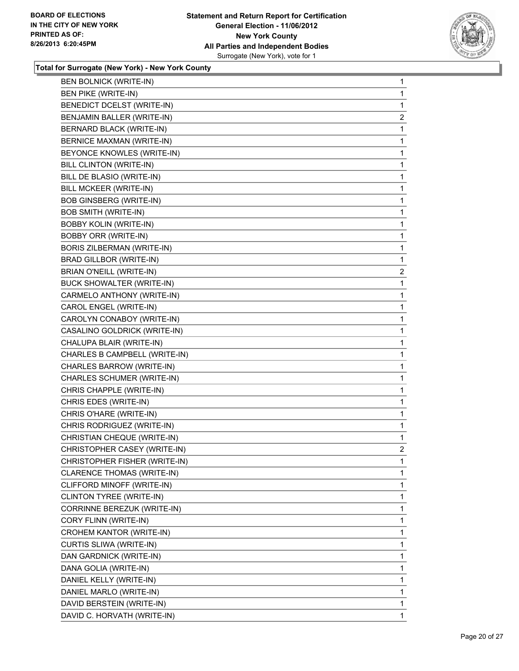

| <b>BEN BOLNICK (WRITE-IN)</b>  | 1              |
|--------------------------------|----------------|
| <b>BEN PIKE (WRITE-IN)</b>     | 1              |
| BENEDICT DCELST (WRITE-IN)     | 1              |
| BENJAMIN BALLER (WRITE-IN)     | $\overline{2}$ |
| BERNARD BLACK (WRITE-IN)       | 1              |
| BERNICE MAXMAN (WRITE-IN)      | 1              |
| BEYONCE KNOWLES (WRITE-IN)     | 1              |
| <b>BILL CLINTON (WRITE-IN)</b> | 1              |
| BILL DE BLASIO (WRITE-IN)      | 1              |
| BILL MCKEER (WRITE-IN)         | 1              |
| <b>BOB GINSBERG (WRITE-IN)</b> | 1              |
| <b>BOB SMITH (WRITE-IN)</b>    | 1              |
| <b>BOBBY KOLIN (WRITE-IN)</b>  | 1              |
| <b>BOBBY ORR (WRITE-IN)</b>    | 1              |
| BORIS ZILBERMAN (WRITE-IN)     | 1              |
| BRAD GILLBOR (WRITE-IN)        | 1              |
| BRIAN O'NEILL (WRITE-IN)       | $\overline{a}$ |
| BUCK SHOWALTER (WRITE-IN)      | 1              |
| CARMELO ANTHONY (WRITE-IN)     | 1              |
| CAROL ENGEL (WRITE-IN)         | 1              |
| CAROLYN CONABOY (WRITE-IN)     | 1              |
| CASALINO GOLDRICK (WRITE-IN)   | 1              |
| CHALUPA BLAIR (WRITE-IN)       | 1              |
| CHARLES B CAMPBELL (WRITE-IN)  | 1              |
| CHARLES BARROW (WRITE-IN)      | 1              |
| CHARLES SCHUMER (WRITE-IN)     | 1              |
| CHRIS CHAPPLE (WRITE-IN)       | 1              |
| CHRIS EDES (WRITE-IN)          | 1              |
| CHRIS O'HARE (WRITE-IN)        | 1              |
| CHRIS RODRIGUEZ (WRITE-IN)     | 1              |
| CHRISTIAN CHEQUE (WRITE-IN)    | 1              |
| CHRISTOPHER CASEY (WRITE-IN)   | $\overline{2}$ |
| CHRISTOPHER FISHER (WRITE-IN)  | 1              |
| CLARENCE THOMAS (WRITE-IN)     | 1              |
| CLIFFORD MINOFF (WRITE-IN)     | 1              |
| CLINTON TYREE (WRITE-IN)       | 1              |
| CORRINNE BEREZUK (WRITE-IN)    | 1              |
| CORY FLINN (WRITE-IN)          | 1              |
| CROHEM KANTOR (WRITE-IN)       | 1              |
| CURTIS SLIWA (WRITE-IN)        | 1              |
| DAN GARDNICK (WRITE-IN)        | 1              |
| DANA GOLIA (WRITE-IN)          | 1              |
| DANIEL KELLY (WRITE-IN)        | 1              |
| DANIEL MARLO (WRITE-IN)        | 1              |
| DAVID BERSTEIN (WRITE-IN)      | 1              |
| DAVID C. HORVATH (WRITE-IN)    | 1              |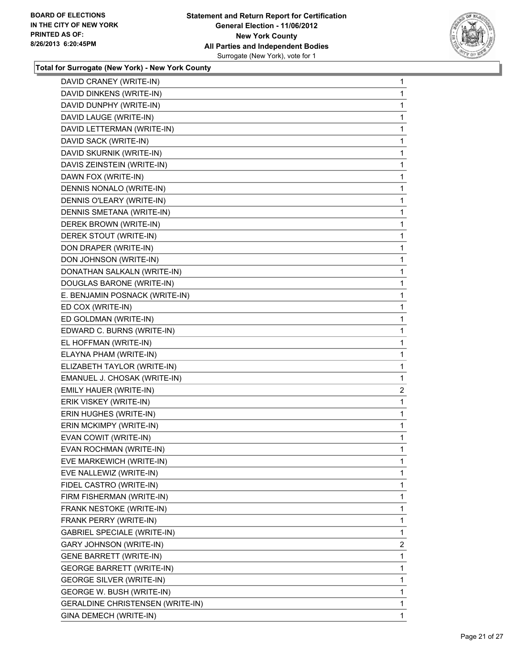

| DAVID CRANEY (WRITE-IN)            | 1              |
|------------------------------------|----------------|
| DAVID DINKENS (WRITE-IN)           | 1              |
| DAVID DUNPHY (WRITE-IN)            | 1              |
| DAVID LAUGE (WRITE-IN)             | 1              |
| DAVID LETTERMAN (WRITE-IN)         | 1              |
| DAVID SACK (WRITE-IN)              | 1              |
| DAVID SKURNIK (WRITE-IN)           | 1              |
| DAVIS ZEINSTEIN (WRITE-IN)         | 1              |
| DAWN FOX (WRITE-IN)                | 1              |
| DENNIS NONALO (WRITE-IN)           | 1              |
| DENNIS O'LEARY (WRITE-IN)          | 1              |
| DENNIS SMETANA (WRITE-IN)          | 1              |
| DEREK BROWN (WRITE-IN)             | 1              |
| DEREK STOUT (WRITE-IN)             | 1              |
| DON DRAPER (WRITE-IN)              | 1              |
| DON JOHNSON (WRITE-IN)             | 1              |
| DONATHAN SALKALN (WRITE-IN)        | 1              |
| DOUGLAS BARONE (WRITE-IN)          | 1              |
| E. BENJAMIN POSNACK (WRITE-IN)     | 1              |
| ED COX (WRITE-IN)                  | 1              |
| ED GOLDMAN (WRITE-IN)              | 1              |
| EDWARD C. BURNS (WRITE-IN)         | 1              |
| EL HOFFMAN (WRITE-IN)              | 1              |
| ELAYNA PHAM (WRITE-IN)             | 1              |
| ELIZABETH TAYLOR (WRITE-IN)        | 1              |
| EMANUEL J. CHOSAK (WRITE-IN)       | 1              |
| EMILY HAUER (WRITE-IN)             | $\overline{2}$ |
| ERIK VISKEY (WRITE-IN)             | 1              |
| ERIN HUGHES (WRITE-IN)             | 1              |
| ERIN MCKIMPY (WRITE-IN)            | 1              |
| EVAN COWIT (WRITE-IN)              | 1              |
| EVAN ROCHMAN (WRITE-IN)            | 1              |
| EVE MARKEWICH (WRITE-IN)           | 1              |
| EVE NALLEWIZ (WRITE-IN)            | 1              |
| FIDEL CASTRO (WRITE-IN)            | 1              |
| FIRM FISHERMAN (WRITE-IN)          | 1              |
| FRANK NESTOKE (WRITE-IN)           | 1              |
| FRANK PERRY (WRITE-IN)             | 1              |
| <b>GABRIEL SPECIALE (WRITE-IN)</b> | 1              |
| GARY JOHNSON (WRITE-IN)            | 2              |
| <b>GENE BARRETT (WRITE-IN)</b>     | 1              |
| <b>GEORGE BARRETT (WRITE-IN)</b>   | 1              |
| <b>GEORGE SILVER (WRITE-IN)</b>    | 1              |
| GEORGE W. BUSH (WRITE-IN)          | 1              |
| GERALDINE CHRISTENSEN (WRITE-IN)   | 1              |
| GINA DEMECH (WRITE-IN)             | $\mathbf{1}$   |
|                                    |                |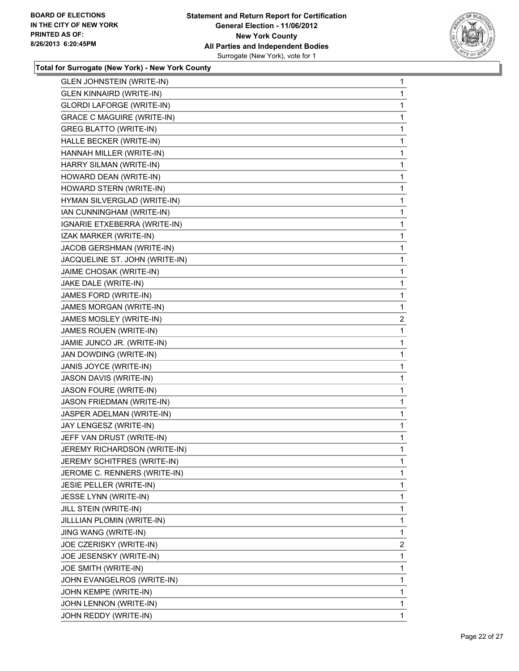

| <b>GLEN JOHNSTEIN (WRITE-IN)</b>  | 1              |
|-----------------------------------|----------------|
| <b>GLEN KINNAIRD (WRITE-IN)</b>   | 1              |
| <b>GLORDI LAFORGE (WRITE-IN)</b>  | 1              |
| <b>GRACE C MAGUIRE (WRITE-IN)</b> | 1              |
| <b>GREG BLATTO (WRITE-IN)</b>     | 1              |
| HALLE BECKER (WRITE-IN)           | 1              |
| HANNAH MILLER (WRITE-IN)          | 1              |
| HARRY SILMAN (WRITE-IN)           | 1              |
| HOWARD DEAN (WRITE-IN)            | 1              |
| HOWARD STERN (WRITE-IN)           | 1              |
| HYMAN SILVERGLAD (WRITE-IN)       | 1              |
| IAN CUNNINGHAM (WRITE-IN)         | 1              |
| IGNARIE ETXEBERRA (WRITE-IN)      | 1              |
| IZAK MARKER (WRITE-IN)            | 1              |
| JACOB GERSHMAN (WRITE-IN)         | 1              |
| JACQUELINE ST. JOHN (WRITE-IN)    | 1              |
| JAIME CHOSAK (WRITE-IN)           | 1              |
| JAKE DALE (WRITE-IN)              | 1              |
| JAMES FORD (WRITE-IN)             | 1              |
| JAMES MORGAN (WRITE-IN)           | 1              |
| JAMES MOSLEY (WRITE-IN)           | $\overline{c}$ |
| JAMES ROUEN (WRITE-IN)            | 1              |
| JAMIE JUNCO JR. (WRITE-IN)        | 1              |
| JAN DOWDING (WRITE-IN)            | 1              |
| JANIS JOYCE (WRITE-IN)            | 1              |
| JASON DAVIS (WRITE-IN)            | 1              |
| JASON FOURE (WRITE-IN)            | 1              |
| JASON FRIEDMAN (WRITE-IN)         | 1              |
| JASPER ADELMAN (WRITE-IN)         | 1              |
| JAY LENGESZ (WRITE-IN)            | 1              |
| JEFF VAN DRUST (WRITE-IN)         | 1              |
| JEREMY RICHARDSON (WRITE-IN)      | 1              |
| JEREMY SCHITFRES (WRITE-IN)       | 1              |
| JEROME C. RENNERS (WRITE-IN)      | $\mathbf{1}$   |
| JESIE PELLER (WRITE-IN)           | 1              |
| JESSE LYNN (WRITE-IN)             | 1              |
| JILL STEIN (WRITE-IN)             | 1              |
| JILLLIAN PLOMIN (WRITE-IN)        | $\mathbf{1}$   |
| JING WANG (WRITE-IN)              | 1              |
| JOE CZERISKY (WRITE-IN)           | $\overline{2}$ |
| JOE JESENSKY (WRITE-IN)           | 1              |
| JOE SMITH (WRITE-IN)              | 1              |
| JOHN EVANGELROS (WRITE-IN)        | 1              |
| JOHN KEMPE (WRITE-IN)             | $\mathbf{1}$   |
| JOHN LENNON (WRITE-IN)            | 1              |
| JOHN REDDY (WRITE-IN)             | $\mathbf 1$    |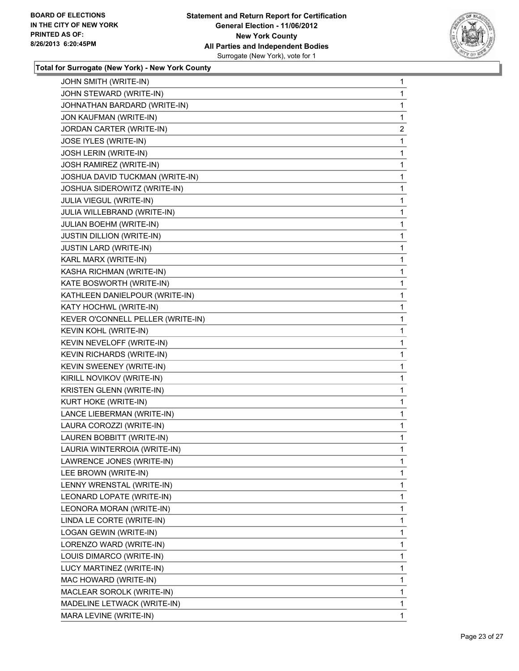

| JOHN SMITH (WRITE-IN)             | $\mathbf 1$             |
|-----------------------------------|-------------------------|
| JOHN STEWARD (WRITE-IN)           | 1                       |
| JOHNATHAN BARDARD (WRITE-IN)      | 1                       |
| JON KAUFMAN (WRITE-IN)            | 1                       |
| JORDAN CARTER (WRITE-IN)          | $\overline{\mathbf{c}}$ |
| JOSE IYLES (WRITE-IN)             | 1                       |
| JOSH LERIN (WRITE-IN)             | 1                       |
| JOSH RAMIREZ (WRITE-IN)           | 1                       |
| JOSHUA DAVID TUCKMAN (WRITE-IN)   | 1                       |
| JOSHUA SIDEROWITZ (WRITE-IN)      | 1                       |
| JULIA VIEGUL (WRITE-IN)           | 1                       |
| JULIA WILLEBRAND (WRITE-IN)       | 1                       |
| JULIAN BOEHM (WRITE-IN)           | 1                       |
| <b>JUSTIN DILLION (WRITE-IN)</b>  | 1                       |
| <b>JUSTIN LARD (WRITE-IN)</b>     | 1                       |
| KARL MARX (WRITE-IN)              | 1                       |
| KASHA RICHMAN (WRITE-IN)          | 1                       |
| KATE BOSWORTH (WRITE-IN)          | 1                       |
| KATHLEEN DANIELPOUR (WRITE-IN)    | 1                       |
| KATY HOCHWL (WRITE-IN)            | 1                       |
| KEVER O'CONNELL PELLER (WRITE-IN) | 1                       |
| KEVIN KOHL (WRITE-IN)             | 1                       |
| KEVIN NEVELOFF (WRITE-IN)         | 1                       |
| <b>KEVIN RICHARDS (WRITE-IN)</b>  | 1                       |
| KEVIN SWEENEY (WRITE-IN)          | 1                       |
| KIRILL NOVIKOV (WRITE-IN)         | 1                       |
| KRISTEN GLENN (WRITE-IN)          | 1                       |
| KURT HOKE (WRITE-IN)              | 1                       |
| LANCE LIEBERMAN (WRITE-IN)        | 1                       |
| LAURA COROZZI (WRITE-IN)          | 1                       |
| LAUREN BOBBITT (WRITE-IN)         | 1                       |
| LAURIA WINTERROIA (WRITE-IN)      | 1                       |
| LAWRENCE JONES (WRITE-IN)         | 1                       |
| LEE BROWN (WRITE-IN)              | 1                       |
| LENNY WRENSTAL (WRITE-IN)         | 1                       |
| LEONARD LOPATE (WRITE-IN)         | 1                       |
| LEONORA MORAN (WRITE-IN)          | 1                       |
| LINDA LE CORTE (WRITE-IN)         | 1                       |
| LOGAN GEWIN (WRITE-IN)            | 1                       |
| LORENZO WARD (WRITE-IN)           | 1                       |
| LOUIS DIMARCO (WRITE-IN)          | 1                       |
| LUCY MARTINEZ (WRITE-IN)          | 1                       |
| MAC HOWARD (WRITE-IN)             | 1                       |
| MACLEAR SOROLK (WRITE-IN)         | 1                       |
| MADELINE LETWACK (WRITE-IN)       | 1                       |
| MARA LEVINE (WRITE-IN)            | 1                       |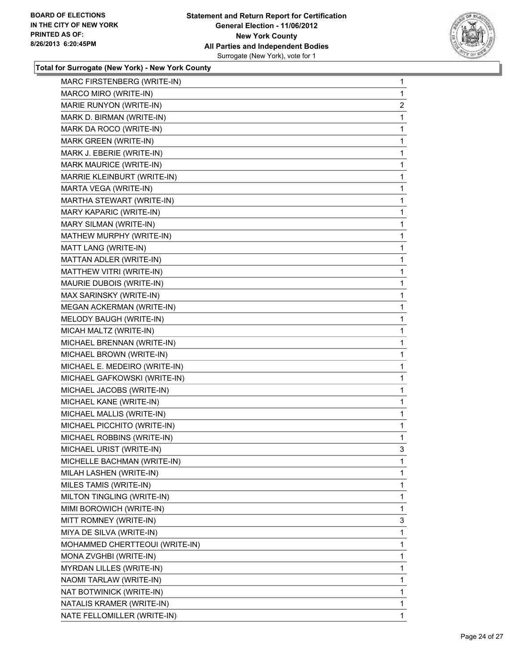

| MARC FIRSTENBERG (WRITE-IN)    | 1            |
|--------------------------------|--------------|
| MARCO MIRO (WRITE-IN)          | 1            |
| MARIE RUNYON (WRITE-IN)        | 2            |
| MARK D. BIRMAN (WRITE-IN)      | 1            |
| MARK DA ROCO (WRITE-IN)        | 1            |
| MARK GREEN (WRITE-IN)          | 1            |
| MARK J. EBERIE (WRITE-IN)      | 1            |
| MARK MAURICE (WRITE-IN)        | 1            |
| MARRIE KLEINBURT (WRITE-IN)    | 1            |
| MARTA VEGA (WRITE-IN)          | 1            |
| MARTHA STEWART (WRITE-IN)      | 1            |
| MARY KAPARIC (WRITE-IN)        | 1            |
| MARY SILMAN (WRITE-IN)         | 1            |
| MATHEW MURPHY (WRITE-IN)       | 1            |
| MATT LANG (WRITE-IN)           | 1            |
| MATTAN ADLER (WRITE-IN)        | 1            |
| MATTHEW VITRI (WRITE-IN)       | 1            |
| MAURIE DUBOIS (WRITE-IN)       | 1            |
| MAX SARINSKY (WRITE-IN)        | 1            |
| MEGAN ACKERMAN (WRITE-IN)      | 1            |
| MELODY BAUGH (WRITE-IN)        | 1            |
| MICAH MALTZ (WRITE-IN)         | 1            |
| MICHAEL BRENNAN (WRITE-IN)     | 1            |
| MICHAEL BROWN (WRITE-IN)       | 1            |
| MICHAEL E. MEDEIRO (WRITE-IN)  | 1            |
| MICHAEL GAFKOWSKI (WRITE-IN)   | 1            |
| MICHAEL JACOBS (WRITE-IN)      | 1            |
| MICHAEL KANE (WRITE-IN)        | 1            |
| MICHAEL MALLIS (WRITE-IN)      | 1            |
| MICHAEL PICCHITO (WRITE-IN)    | 1            |
| MICHAEL ROBBINS (WRITE-IN)     | 1            |
| MICHAEL URIST (WRITE-IN)       | 3            |
| MICHELLE BACHMAN (WRITE-IN)    | 1            |
| MILAH LASHEN (WRITE-IN)        | 1            |
| MILES TAMIS (WRITE-IN)         | 1            |
| MILTON TINGLING (WRITE-IN)     | 1            |
| MIMI BOROWICH (WRITE-IN)       | 1            |
| MITT ROMNEY (WRITE-IN)         | 3            |
| MIYA DE SILVA (WRITE-IN)       | 1            |
| MOHAMMED CHERTTEOUI (WRITE-IN) | 1            |
| MONA ZVGHBI (WRITE-IN)         | 1            |
| MYRDAN LILLES (WRITE-IN)       | 1            |
| NAOMI TARLAW (WRITE-IN)        | 1            |
| NAT BOTWINICK (WRITE-IN)       | 1            |
| NATALIS KRAMER (WRITE-IN)      | 1            |
| NATE FELLOMILLER (WRITE-IN)    | $\mathbf{1}$ |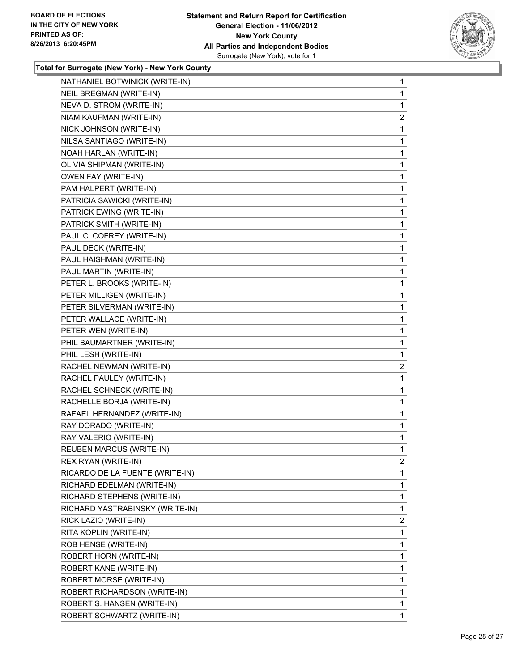

| NATHANIEL BOTWINICK (WRITE-IN)  | 1              |
|---------------------------------|----------------|
| NEIL BREGMAN (WRITE-IN)         | 1              |
| NEVA D. STROM (WRITE-IN)        | 1              |
| NIAM KAUFMAN (WRITE-IN)         | $\overline{2}$ |
| NICK JOHNSON (WRITE-IN)         | 1              |
| NILSA SANTIAGO (WRITE-IN)       | 1              |
| NOAH HARLAN (WRITE-IN)          | 1              |
| OLIVIA SHIPMAN (WRITE-IN)       | 1              |
| OWEN FAY (WRITE-IN)             | 1              |
| PAM HALPERT (WRITE-IN)          | 1              |
| PATRICIA SAWICKI (WRITE-IN)     | 1              |
| PATRICK EWING (WRITE-IN)        | 1              |
| PATRICK SMITH (WRITE-IN)        | 1              |
| PAUL C. COFREY (WRITE-IN)       | 1              |
| PAUL DECK (WRITE-IN)            | 1              |
| PAUL HAISHMAN (WRITE-IN)        | 1              |
| PAUL MARTIN (WRITE-IN)          | 1              |
| PETER L. BROOKS (WRITE-IN)      | 1              |
| PETER MILLIGEN (WRITE-IN)       | 1              |
| PETER SILVERMAN (WRITE-IN)      | 1              |
| PETER WALLACE (WRITE-IN)        | 1              |
| PETER WEN (WRITE-IN)            | 1              |
| PHIL BAUMARTNER (WRITE-IN)      | 1              |
| PHIL LESH (WRITE-IN)            | 1              |
| RACHEL NEWMAN (WRITE-IN)        | $\overline{a}$ |
| RACHEL PAULEY (WRITE-IN)        | 1              |
| RACHEL SCHNECK (WRITE-IN)       | 1              |
| RACHELLE BORJA (WRITE-IN)       | $\mathbf{1}$   |
| RAFAEL HERNANDEZ (WRITE-IN)     | 1              |
| RAY DORADO (WRITE-IN)           | 1              |
| RAY VALERIO (WRITE-IN)          | 1              |
| <b>REUBEN MARCUS (WRITE-IN)</b> | 1              |
| REX RYAN (WRITE-IN)             | 2              |
| RICARDO DE LA FUENTE (WRITE-IN) | 1              |
| RICHARD EDELMAN (WRITE-IN)      | 1              |
| RICHARD STEPHENS (WRITE-IN)     | 1              |
| RICHARD YASTRABINSKY (WRITE-IN) | 1              |
| RICK LAZIO (WRITE-IN)           | 2              |
| RITA KOPLIN (WRITE-IN)          | 1              |
| ROB HENSE (WRITE-IN)            | 1              |
| ROBERT HORN (WRITE-IN)          | 1              |
| ROBERT KANE (WRITE-IN)          | 1              |
| ROBERT MORSE (WRITE-IN)         | 1              |
| ROBERT RICHARDSON (WRITE-IN)    | 1              |
| ROBERT S. HANSEN (WRITE-IN)     | 1              |
| ROBERT SCHWARTZ (WRITE-IN)      | 1              |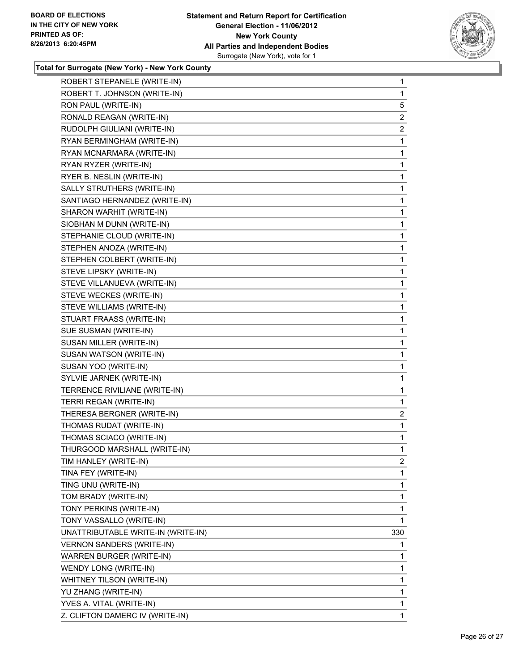

| ROBERT STEPANELE (WRITE-IN)        | 1                       |
|------------------------------------|-------------------------|
| ROBERT T. JOHNSON (WRITE-IN)       | 1                       |
| RON PAUL (WRITE-IN)                | 5                       |
| RONALD REAGAN (WRITE-IN)           | $\overline{\mathbf{c}}$ |
| RUDOLPH GIULIANI (WRITE-IN)        | $\overline{2}$          |
| RYAN BERMINGHAM (WRITE-IN)         | 1                       |
| RYAN MCNARMARA (WRITE-IN)          | 1                       |
| RYAN RYZER (WRITE-IN)              | 1                       |
| RYER B. NESLIN (WRITE-IN)          | 1                       |
| SALLY STRUTHERS (WRITE-IN)         | 1                       |
| SANTIAGO HERNANDEZ (WRITE-IN)      | 1                       |
| SHARON WARHIT (WRITE-IN)           | 1                       |
| SIOBHAN M DUNN (WRITE-IN)          | 1                       |
| STEPHANIE CLOUD (WRITE-IN)         | 1                       |
| STEPHEN ANOZA (WRITE-IN)           | 1                       |
| STEPHEN COLBERT (WRITE-IN)         | 1                       |
| STEVE LIPSKY (WRITE-IN)            | 1                       |
| STEVE VILLANUEVA (WRITE-IN)        | 1                       |
| STEVE WECKES (WRITE-IN)            | 1                       |
| STEVE WILLIAMS (WRITE-IN)          | 1                       |
| STUART FRAASS (WRITE-IN)           | 1                       |
| SUE SUSMAN (WRITE-IN)              | 1                       |
| SUSAN MILLER (WRITE-IN)            | 1                       |
| SUSAN WATSON (WRITE-IN)            | 1                       |
| SUSAN YOO (WRITE-IN)               | 1                       |
| SYLVIE JARNEK (WRITE-IN)           | 1                       |
| TERRENCE RIVILIANE (WRITE-IN)      | 1                       |
| TERRI REGAN (WRITE-IN)             | 1                       |
| THERESA BERGNER (WRITE-IN)         | 2                       |
| THOMAS RUDAT (WRITE-IN)            | 1                       |
| THOMAS SCIACO (WRITE-IN)           | 1                       |
| THURGOOD MARSHALL (WRITE-IN)       | 1                       |
| TIM HANLEY (WRITE-IN)              | 2                       |
| TINA FEY (WRITE-IN)                | 1                       |
| TING UNU (WRITE-IN)                | 1                       |
| TOM BRADY (WRITE-IN)               | 1                       |
| TONY PERKINS (WRITE-IN)            | 1                       |
| TONY VASSALLO (WRITE-IN)           | 1                       |
| UNATTRIBUTABLE WRITE-IN (WRITE-IN) | 330                     |
| <b>VERNON SANDERS (WRITE-IN)</b>   | 1                       |
| WARREN BURGER (WRITE-IN)           | 1                       |
| WENDY LONG (WRITE-IN)              | 1                       |
| WHITNEY TILSON (WRITE-IN)          | 1                       |
| YU ZHANG (WRITE-IN)                | 1                       |
| YVES A. VITAL (WRITE-IN)           | 1                       |
| Z. CLIFTON DAMERC IV (WRITE-IN)    | 1                       |